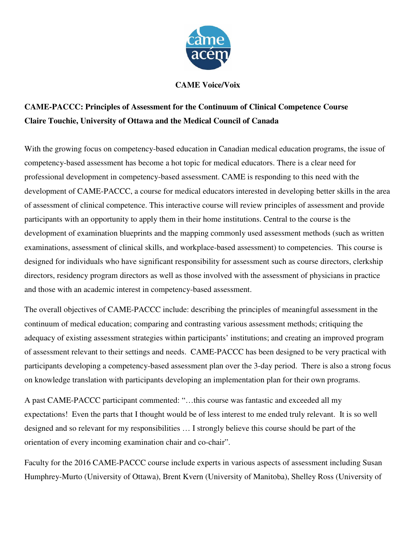

## **CAME Voice/Voix**

## **CAME-PACCC: Principles of Assessment for the Continuum of Clinical Competence Course Claire Touchie, University of Ottawa and the Medical Council of Canada**

With the growing focus on competency-based education in Canadian medical education programs, the issue of competency-based assessment has become a hot topic for medical educators. There is a clear need for professional development in competency-based assessment. CAME is responding to this need with the development of CAME-PACCC, a course for medical educators interested in developing better skills in the area of assessment of clinical competence. This interactive course will review principles of assessment and provide participants with an opportunity to apply them in their home institutions. Central to the course is the development of examination blueprints and the mapping commonly used assessment methods (such as written examinations, assessment of clinical skills, and workplace-based assessment) to competencies. This course is designed for individuals who have significant responsibility for assessment such as course directors, clerkship directors, residency program directors as well as those involved with the assessment of physicians in practice and those with an academic interest in competency-based assessment.

The overall objectives of CAME-PACCC include: describing the principles of meaningful assessment in the continuum of medical education; comparing and contrasting various assessment methods; critiquing the adequacy of existing assessment strategies within participants' institutions; and creating an improved program of assessment relevant to their settings and needs. CAME-PACCC has been designed to be very practical with participants developing a competency-based assessment plan over the 3-day period. There is also a strong focus on knowledge translation with participants developing an implementation plan for their own programs.

A past CAME-PACCC participant commented: "…this course was fantastic and exceeded all my expectations! Even the parts that I thought would be of less interest to me ended truly relevant. It is so well designed and so relevant for my responsibilities … I strongly believe this course should be part of the orientation of every incoming examination chair and co-chair".

Faculty for the 2016 CAME-PACCC course include experts in various aspects of assessment including Susan Humphrey-Murto (University of Ottawa), Brent Kvern (University of Manitoba), Shelley Ross (University of